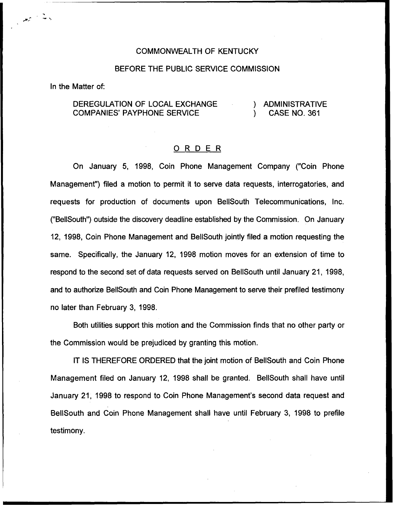#### COMMONWEALTH OF KENTUCKY

#### BEFORE THE PUBLIC SERVICE COMMISSION

In the Matter of:

 $\frac{1}{\sqrt{2}}$ 

## DEREGULATION OF LOCAL EXCHANGE COMPANIES' PAYPHONE SERVICE

#### ) ADMINISTRATIVE ) CASE NO. 361

### ORDER

On January 5, 1998, Coin Phone Management Company ("Coin Phone Management") filed a motion to permit it to serve data requests, interrogatories, and requests for production of documents upon BellSouth Telecommunications, Inc. ("BellSouth") outside the discovery deadline established by the Commission. On January 12, 1998, Coin Phone Management and BellSouth jointly filed a motion requesting the same. Specifically, the January 12, 1998 motion moves for an extension of time to respond to the second set of data requests served on BellSouth until January 21, 1998, and to authorize BellSouth and Coin Phone Management to serve their prefiled testimony no later than February 3, 1998.

Both utilities support this motion and the Commission finds that no other party or the Commission would be prejudiced by granting this motion.

IT IS THEREFORE ORDERED that the joint motion of BellSouth and Coin Phone Management filed on January 12, 1998 shall be granted. BellSouth shall have until January 21, 1998 to respond to Coin Phone Management's second data request and BellSouth and Coin Phone Management shall have until February 3, 1998 to prefiie testimony.